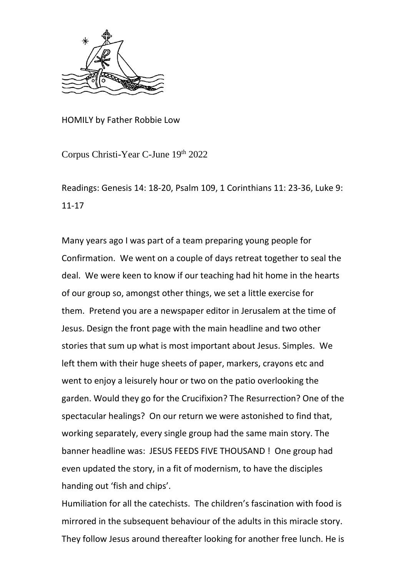

HOMILY by Father Robbie Low

Corpus Christi-Year C-June 19th 2022

Readings: Genesis 14: 18-20, Psalm 109, 1 Corinthians 11: 23-36, Luke 9: 11-17

Many years ago I was part of a team preparing young people for Confirmation. We went on a couple of days retreat together to seal the deal. We were keen to know if our teaching had hit home in the hearts of our group so, amongst other things, we set a little exercise for them. Pretend you are a newspaper editor in Jerusalem at the time of Jesus. Design the front page with the main headline and two other stories that sum up what is most important about Jesus. Simples. We left them with their huge sheets of paper, markers, crayons etc and went to enjoy a leisurely hour or two on the patio overlooking the garden. Would they go for the Crucifixion? The Resurrection? One of the spectacular healings? On our return we were astonished to find that, working separately, every single group had the same main story. The banner headline was: JESUS FEEDS FIVE THOUSAND ! One group had even updated the story, in a fit of modernism, to have the disciples handing out 'fish and chips'.

Humiliation for all the catechists. The children's fascination with food is mirrored in the subsequent behaviour of the adults in this miracle story. They follow Jesus around thereafter looking for another free lunch. He is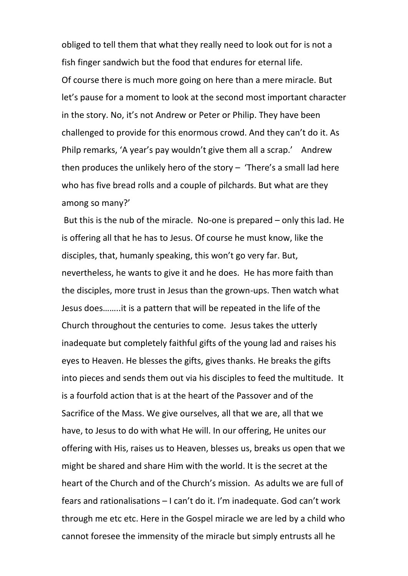obliged to tell them that what they really need to look out for is not a fish finger sandwich but the food that endures for eternal life. Of course there is much more going on here than a mere miracle. But let's pause for a moment to look at the second most important character in the story. No, it's not Andrew or Peter or Philip. They have been challenged to provide for this enormous crowd. And they can't do it. As Philp remarks, 'A year's pay wouldn't give them all a scrap.' Andrew then produces the unlikely hero of the story – 'There's a small lad here who has five bread rolls and a couple of pilchards. But what are they among so many?'

But this is the nub of the miracle. No-one is prepared – only this lad. He is offering all that he has to Jesus. Of course he must know, like the disciples, that, humanly speaking, this won't go very far. But, nevertheless, he wants to give it and he does. He has more faith than the disciples, more trust in Jesus than the grown-ups. Then watch what Jesus does……..it is a pattern that will be repeated in the life of the Church throughout the centuries to come. Jesus takes the utterly inadequate but completely faithful gifts of the young lad and raises his eyes to Heaven. He blesses the gifts, gives thanks. He breaks the gifts into pieces and sends them out via his disciples to feed the multitude. It is a fourfold action that is at the heart of the Passover and of the Sacrifice of the Mass. We give ourselves, all that we are, all that we have, to Jesus to do with what He will. In our offering, He unites our offering with His, raises us to Heaven, blesses us, breaks us open that we might be shared and share Him with the world. It is the secret at the heart of the Church and of the Church's mission. As adults we are full of fears and rationalisations – I can't do it. I'm inadequate. God can't work through me etc etc. Here in the Gospel miracle we are led by a child who cannot foresee the immensity of the miracle but simply entrusts all he